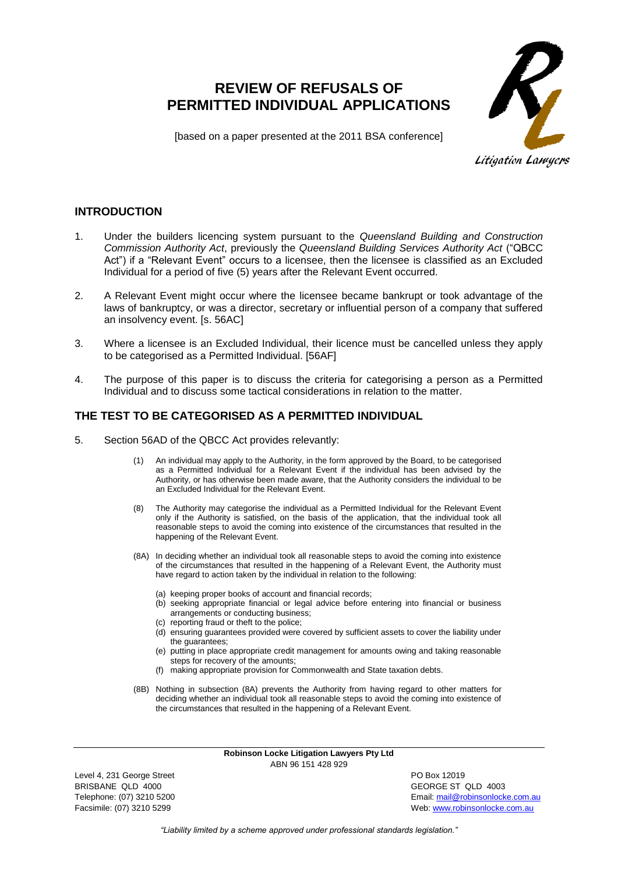# **REVIEW OF REFUSALS OF PERMITTED INDIVIDUAL APPLICATIONS**



[based on a paper presented at the 2011 BSA conference]

**INTRODUCTION**

- 1. Under the builders licencing system pursuant to the *Queensland Building and Construction Commission Authority Act*, previously the *Queensland Building Services Authority Act* ("QBCC Act") if a "Relevant Event" occurs to a licensee, then the licensee is classified as an Excluded Individual for a period of five (5) years after the Relevant Event occurred.
- 2. A Relevant Event might occur where the licensee became bankrupt or took advantage of the laws of bankruptcy, or was a director, secretary or influential person of a company that suffered an insolvency event. [s. 56AC]
- 3. Where a licensee is an Excluded Individual, their licence must be cancelled unless they apply to be categorised as a Permitted Individual. [56AF]
- 4. The purpose of this paper is to discuss the criteria for categorising a person as a Permitted Individual and to discuss some tactical considerations in relation to the matter.

## **THE TEST TO BE CATEGORISED AS A PERMITTED INDIVIDUAL**

- 5. Section 56AD of the QBCC Act provides relevantly:
	- (1) An individual may apply to the Authority, in the form approved by the Board, to be categorised as a Permitted Individual for a Relevant Event if the individual has been advised by the Authority, or has otherwise been made aware, that the Authority considers the individual to be an Excluded Individual for the Relevant Event.
	- (8) The Authority may categorise the individual as a Permitted Individual for the Relevant Event only if the Authority is satisfied, on the basis of the application, that the individual took all reasonable steps to avoid the coming into existence of the circumstances that resulted in the happening of the Relevant Event.
	- (8A) In deciding whether an individual took all reasonable steps to avoid the coming into existence of the circumstances that resulted in the happening of a Relevant Event, the Authority must have regard to action taken by the individual in relation to the following:
		- (a) keeping proper books of account and financial records;
		- (b) seeking appropriate financial or legal advice before entering into financial or business arrangements or conducting business;
		- (c) reporting fraud or theft to the police;
		- (d) ensuring guarantees provided were covered by sufficient assets to cover the liability under the guarantees;
		- (e) putting in place appropriate credit management for amounts owing and taking reasonable steps for recovery of the amounts;
		- (f) making appropriate provision for Commonwealth and State taxation debts.
	- (8B) Nothing in subsection (8A) prevents the Authority from having regard to other matters for deciding whether an individual took all reasonable steps to avoid the coming into existence of the circumstances that resulted in the happening of a Relevant Event.

**Robinson Locke Litigation Lawyers Pty Ltd** ABN 96 151 428 929

Level 4, 231 George Street **PO Box 12019** BRISBANE QLD 4000 GEORGE ST QLD 4003

Telephone: (07) 3210 5200 Email[: mail@robinsonlocke.com.au](mailto:mail@robinsonlocke.com.au) Facsimile: (07) 3210 5299 Web: [www.robinsonlocke.com.au](http://www.robinsonlocke.com.au/)

*"Liability limited by a scheme approved under professional standards legislation."*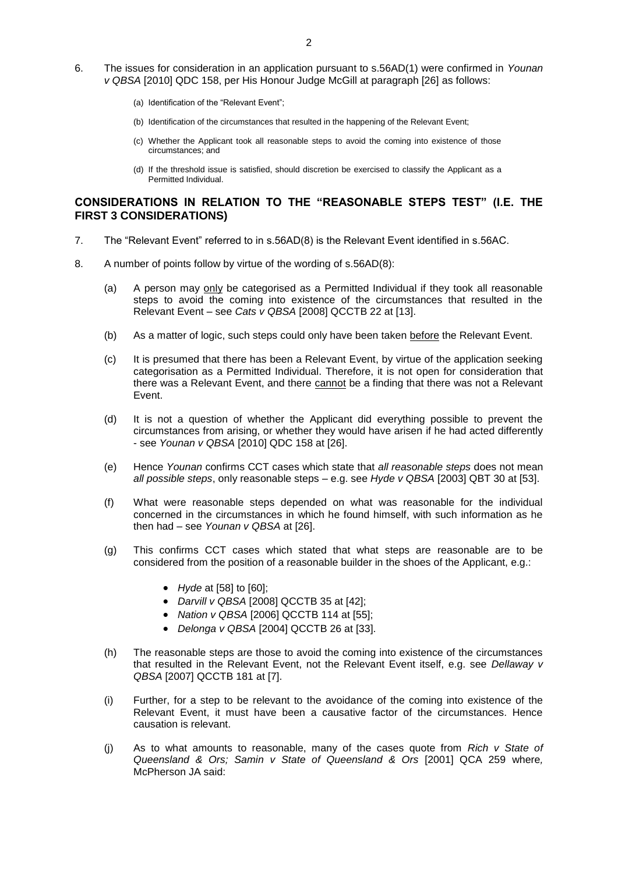- 6. The issues for consideration in an application pursuant to s.56AD(1) were confirmed in *Younan v QBSA* [2010] QDC 158, per His Honour Judge McGill at paragraph [26] as follows:
	- (a) Identification of the "Relevant Event";
	- (b) Identification of the circumstances that resulted in the happening of the Relevant Event;
	- (c) Whether the Applicant took all reasonable steps to avoid the coming into existence of those circumstances; and
	- (d) If the threshold issue is satisfied, should discretion be exercised to classify the Applicant as a Permitted Individual.

#### **CONSIDERATIONS IN RELATION TO THE "REASONABLE STEPS TEST" (I.E. THE FIRST 3 CONSIDERATIONS)**

- 7. The "Relevant Event" referred to in s.56AD(8) is the Relevant Event identified in s.56AC.
- 8. A number of points follow by virtue of the wording of s.56AD(8):
	- (a) A person may only be categorised as a Permitted Individual if they took all reasonable steps to avoid the coming into existence of the circumstances that resulted in the Relevant Event – see *Cats v QBSA* [2008] QCCTB 22 at [13].
	- (b) As a matter of logic, such steps could only have been taken before the Relevant Event.
	- (c) It is presumed that there has been a Relevant Event, by virtue of the application seeking categorisation as a Permitted Individual. Therefore, it is not open for consideration that there was a Relevant Event, and there cannot be a finding that there was not a Relevant Event.
	- (d) It is not a question of whether the Applicant did everything possible to prevent the circumstances from arising, or whether they would have arisen if he had acted differently - see *Younan v QBSA* [2010] QDC 158 at [26].
	- (e) Hence *Younan* confirms CCT cases which state that *all reasonable steps* does not mean *all possible steps*, only reasonable steps – e.g. see *Hyde v QBSA* [2003] QBT 30 at [53].
	- (f) What were reasonable steps depended on what was reasonable for the individual concerned in the circumstances in which he found himself, with such information as he then had – see *Younan v QBSA* at [26].
	- (g) This confirms CCT cases which stated that what steps are reasonable are to be considered from the position of a reasonable builder in the shoes of the Applicant, e.g.:
		- *Hyde* at [58] to [60];
		- *Darvill v QBSA* [2008] QCCTB 35 at [42];
		- *Nation v QBSA* [2006] QCCTB 114 at [55];
		- *Delonga v QBSA* [2004] QCCTB 26 at [33].
	- (h) The reasonable steps are those to avoid the coming into existence of the circumstances that resulted in the Relevant Event, not the Relevant Event itself, e.g. see *Dellaway v QBSA* [2007] QCCTB 181 at [7].
	- (i) Further, for a step to be relevant to the avoidance of the coming into existence of the Relevant Event, it must have been a causative factor of the circumstances. Hence causation is relevant.
	- (j) As to what amounts to reasonable, many of the cases quote from *Rich v State of Queensland & Ors; Samin v State of Queensland & Ors* [2001] QCA 259 where*,*  McPherson JA said: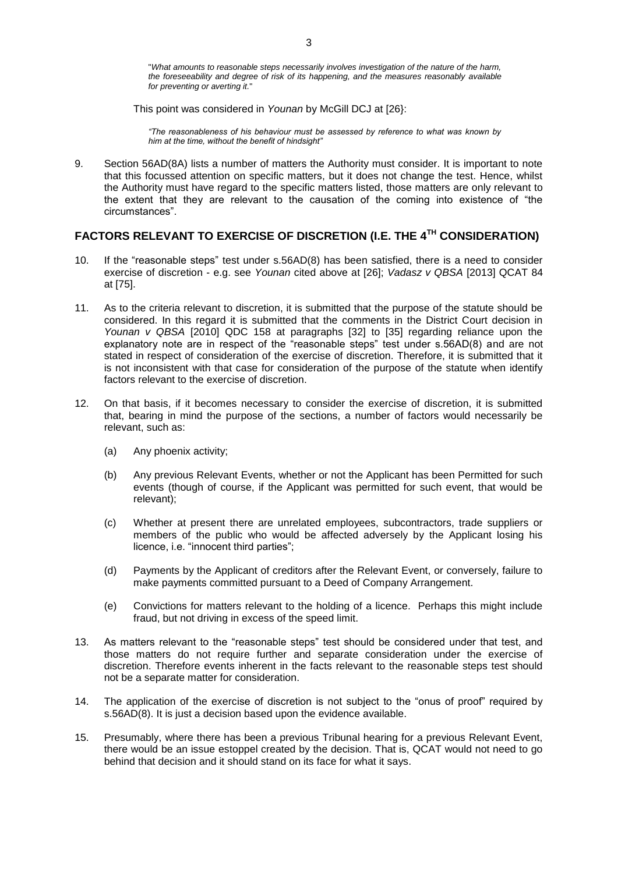"*What amounts to reasonable steps necessarily involves investigation of the nature of the harm, the foreseeability and degree of risk of its happening, and the measures reasonably available for preventing or averting it.*"

This point was considered in *Younan* by McGill DCJ at [26}:

*"The reasonableness of his behaviour must be assessed by reference to what was known by him at the time, without the benefit of hindsight"*

9. Section 56AD(8A) lists a number of matters the Authority must consider. It is important to note that this focussed attention on specific matters, but it does not change the test. Hence, whilst the Authority must have regard to the specific matters listed, those matters are only relevant to the extent that they are relevant to the causation of the coming into existence of "the circumstances".

# **FACTORS RELEVANT TO EXERCISE OF DISCRETION (I.E. THE 4TH CONSIDERATION)**

- 10. If the "reasonable steps" test under s.56AD(8) has been satisfied, there is a need to consider exercise of discretion - e.g. see *Younan* cited above at [26]; *Vadasz v QBSA* [2013] QCAT 84 at [75].
- 11. As to the criteria relevant to discretion, it is submitted that the purpose of the statute should be considered. In this regard it is submitted that the comments in the District Court decision in *Younan v QBSA* [2010] QDC 158 at paragraphs [32] to [35] regarding reliance upon the explanatory note are in respect of the "reasonable steps" test under s.56AD(8) and are not stated in respect of consideration of the exercise of discretion. Therefore, it is submitted that it is not inconsistent with that case for consideration of the purpose of the statute when identify factors relevant to the exercise of discretion.
- 12. On that basis, if it becomes necessary to consider the exercise of discretion, it is submitted that, bearing in mind the purpose of the sections, a number of factors would necessarily be relevant, such as:
	- (a) Any phoenix activity;
	- (b) Any previous Relevant Events, whether or not the Applicant has been Permitted for such events (though of course, if the Applicant was permitted for such event, that would be relevant);
	- (c) Whether at present there are unrelated employees, subcontractors, trade suppliers or members of the public who would be affected adversely by the Applicant losing his licence, i.e. "innocent third parties";
	- (d) Payments by the Applicant of creditors after the Relevant Event, or conversely, failure to make payments committed pursuant to a Deed of Company Arrangement.
	- (e) Convictions for matters relevant to the holding of a licence. Perhaps this might include fraud, but not driving in excess of the speed limit.
- 13. As matters relevant to the "reasonable steps" test should be considered under that test, and those matters do not require further and separate consideration under the exercise of discretion. Therefore events inherent in the facts relevant to the reasonable steps test should not be a separate matter for consideration.
- 14. The application of the exercise of discretion is not subject to the "onus of proof" required by s.56AD(8). It is just a decision based upon the evidence available.
- 15. Presumably, where there has been a previous Tribunal hearing for a previous Relevant Event, there would be an issue estoppel created by the decision. That is, QCAT would not need to go behind that decision and it should stand on its face for what it says.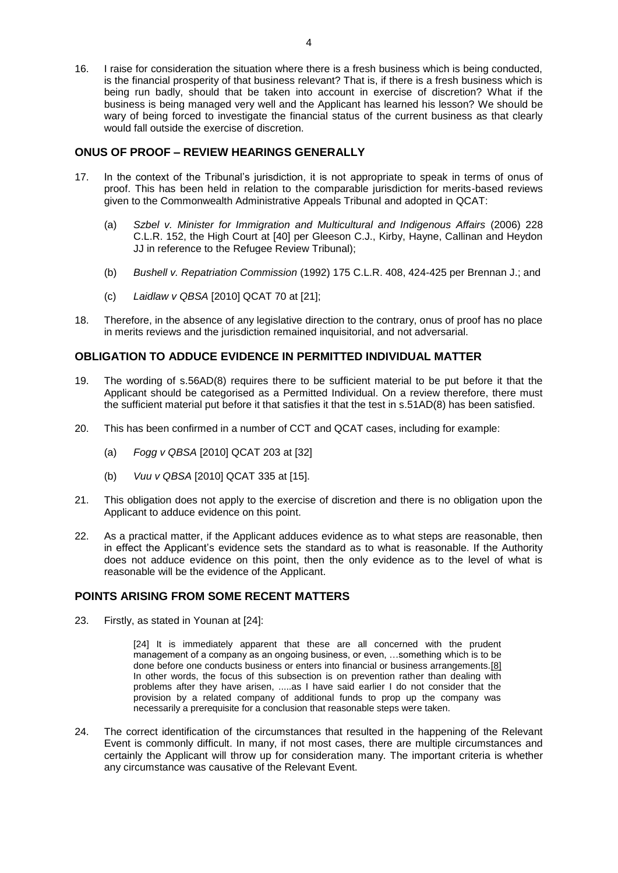16. I raise for consideration the situation where there is a fresh business which is being conducted, is the financial prosperity of that business relevant? That is, if there is a fresh business which is being run badly, should that be taken into account in exercise of discretion? What if the business is being managed very well and the Applicant has learned his lesson? We should be wary of being forced to investigate the financial status of the current business as that clearly would fall outside the exercise of discretion.

#### **ONUS OF PROOF – REVIEW HEARINGS GENERALLY**

- 17. In the context of the Tribunal's jurisdiction, it is not appropriate to speak in terms of onus of proof. This has been held in relation to the comparable jurisdiction for merits-based reviews given to the Commonwealth Administrative Appeals Tribunal and adopted in QCAT:
	- (a) *Szbel v. Minister for Immigration and Multicultural and Indigenous Affairs* (2006) 228 C.L.R. 152, the High Court at [40] per Gleeson C.J., Kirby, Hayne, Callinan and Heydon JJ in reference to the Refugee Review Tribunal);
	- (b) *Bushell v. Repatriation Commission* (1992) 175 C.L.R. 408, 424-425 per Brennan J.; and
	- (c) *Laidlaw v QBSA* [2010] QCAT 70 at [21];
- 18. Therefore, in the absence of any legislative direction to the contrary, onus of proof has no place in merits reviews and the jurisdiction remained inquisitorial, and not adversarial.

#### **OBLIGATION TO ADDUCE EVIDENCE IN PERMITTED INDIVIDUAL MATTER**

- 19. The wording of s.56AD(8) requires there to be sufficient material to be put before it that the Applicant should be categorised as a Permitted Individual. On a review therefore, there must the sufficient material put before it that satisfies it that the test in s.51AD(8) has been satisfied.
- 20. This has been confirmed in a number of CCT and QCAT cases, including for example:
	- (a) *Fogg v QBSA* [2010] QCAT 203 at [32]
	- (b) *Vuu v QBSA* [2010] QCAT 335 at [15].
- 21. This obligation does not apply to the exercise of discretion and there is no obligation upon the Applicant to adduce evidence on this point.
- 22. As a practical matter, if the Applicant adduces evidence as to what steps are reasonable, then in effect the Applicant's evidence sets the standard as to what is reasonable. If the Authority does not adduce evidence on this point, then the only evidence as to the level of what is reasonable will be the evidence of the Applicant.

#### **POINTS ARISING FROM SOME RECENT MATTERS**

23. Firstly, as stated in Younan at [24]:

[24] It is immediately apparent that these are all concerned with the prudent management of a company as an ongoing business, or even, …something which is to be done before one conducts business or enters into financial or business arrangements[.\[8\]](http://www.austlii.edu.au/au/cases/qld/QDC/2010/158.html#fn8#fn8) In other words, the focus of this subsection is on prevention rather than dealing with problems after they have arisen, .....as I have said earlier I do not consider that the provision by a related company of additional funds to prop up the company was necessarily a prerequisite for a conclusion that reasonable steps were taken.

24. The correct identification of the circumstances that resulted in the happening of the Relevant Event is commonly difficult. In many, if not most cases, there are multiple circumstances and certainly the Applicant will throw up for consideration many. The important criteria is whether any circumstance was causative of the Relevant Event.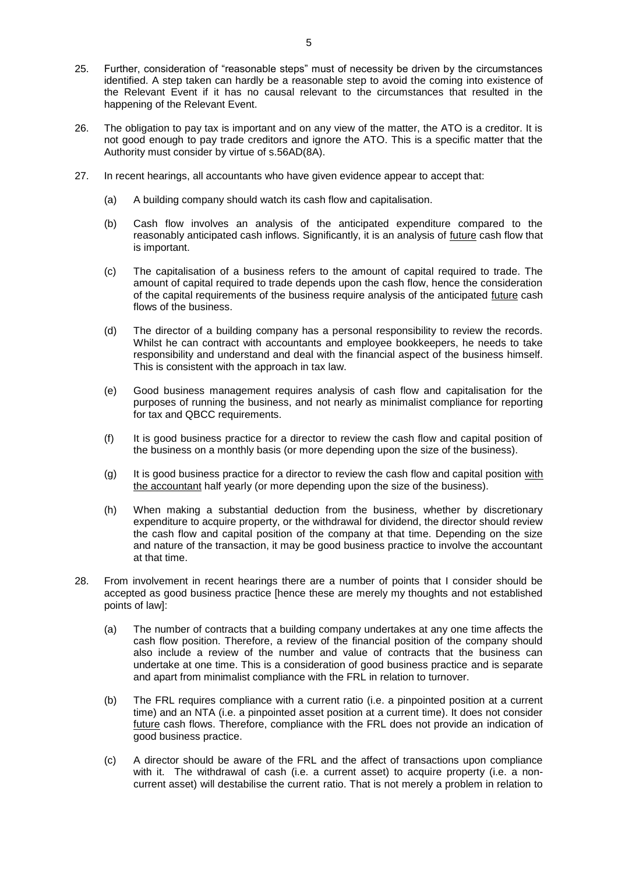- 25. Further, consideration of "reasonable steps" must of necessity be driven by the circumstances identified. A step taken can hardly be a reasonable step to avoid the coming into existence of the Relevant Event if it has no causal relevant to the circumstances that resulted in the happening of the Relevant Event.
- 26. The obligation to pay tax is important and on any view of the matter, the ATO is a creditor. It is not good enough to pay trade creditors and ignore the ATO. This is a specific matter that the Authority must consider by virtue of s.56AD(8A).
- 27. In recent hearings, all accountants who have given evidence appear to accept that:
	- (a) A building company should watch its cash flow and capitalisation.
	- (b) Cash flow involves an analysis of the anticipated expenditure compared to the reasonably anticipated cash inflows. Significantly, it is an analysis of future cash flow that is important.
	- (c) The capitalisation of a business refers to the amount of capital required to trade. The amount of capital required to trade depends upon the cash flow, hence the consideration of the capital requirements of the business require analysis of the anticipated future cash flows of the business.
	- (d) The director of a building company has a personal responsibility to review the records. Whilst he can contract with accountants and employee bookkeepers, he needs to take responsibility and understand and deal with the financial aspect of the business himself. This is consistent with the approach in tax law.
	- (e) Good business management requires analysis of cash flow and capitalisation for the purposes of running the business, and not nearly as minimalist compliance for reporting for tax and QBCC requirements.
	- (f) It is good business practice for a director to review the cash flow and capital position of the business on a monthly basis (or more depending upon the size of the business).
	- (g) It is good business practice for a director to review the cash flow and capital position with the accountant half yearly (or more depending upon the size of the business).
	- (h) When making a substantial deduction from the business, whether by discretionary expenditure to acquire property, or the withdrawal for dividend, the director should review the cash flow and capital position of the company at that time. Depending on the size and nature of the transaction, it may be good business practice to involve the accountant at that time.
- 28. From involvement in recent hearings there are a number of points that I consider should be accepted as good business practice [hence these are merely my thoughts and not established points of law]:
	- (a) The number of contracts that a building company undertakes at any one time affects the cash flow position. Therefore, a review of the financial position of the company should also include a review of the number and value of contracts that the business can undertake at one time. This is a consideration of good business practice and is separate and apart from minimalist compliance with the FRL in relation to turnover.
	- (b) The FRL requires compliance with a current ratio (i.e. a pinpointed position at a current time) and an NTA (i.e. a pinpointed asset position at a current time). It does not consider future cash flows. Therefore, compliance with the FRL does not provide an indication of good business practice.
	- (c) A director should be aware of the FRL and the affect of transactions upon compliance with it. The withdrawal of cash (i.e. a current asset) to acquire property (i.e. a noncurrent asset) will destabilise the current ratio. That is not merely a problem in relation to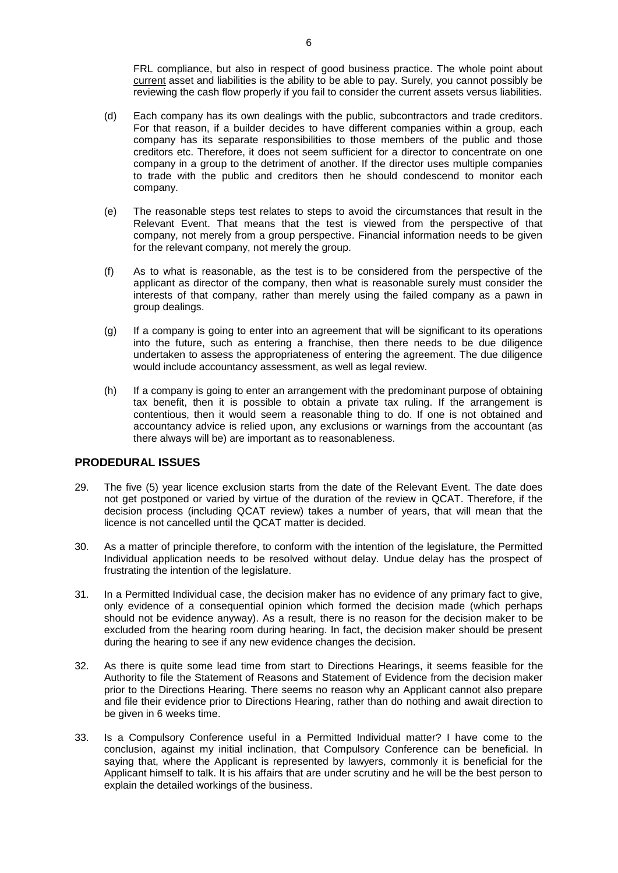FRL compliance, but also in respect of good business practice. The whole point about current asset and liabilities is the ability to be able to pay. Surely, you cannot possibly be reviewing the cash flow properly if you fail to consider the current assets versus liabilities.

- (d) Each company has its own dealings with the public, subcontractors and trade creditors. For that reason, if a builder decides to have different companies within a group, each company has its separate responsibilities to those members of the public and those creditors etc. Therefore, it does not seem sufficient for a director to concentrate on one company in a group to the detriment of another. If the director uses multiple companies to trade with the public and creditors then he should condescend to monitor each company.
- (e) The reasonable steps test relates to steps to avoid the circumstances that result in the Relevant Event. That means that the test is viewed from the perspective of that company, not merely from a group perspective. Financial information needs to be given for the relevant company, not merely the group.
- (f) As to what is reasonable, as the test is to be considered from the perspective of the applicant as director of the company, then what is reasonable surely must consider the interests of that company, rather than merely using the failed company as a pawn in group dealings.
- (g) If a company is going to enter into an agreement that will be significant to its operations into the future, such as entering a franchise, then there needs to be due diligence undertaken to assess the appropriateness of entering the agreement. The due diligence would include accountancy assessment, as well as legal review.
- (h) If a company is going to enter an arrangement with the predominant purpose of obtaining tax benefit, then it is possible to obtain a private tax ruling. If the arrangement is contentious, then it would seem a reasonable thing to do. If one is not obtained and accountancy advice is relied upon, any exclusions or warnings from the accountant (as there always will be) are important as to reasonableness.

## **PRODEDURAL ISSUES**

- 29. The five (5) year licence exclusion starts from the date of the Relevant Event. The date does not get postponed or varied by virtue of the duration of the review in QCAT. Therefore, if the decision process (including QCAT review) takes a number of years, that will mean that the licence is not cancelled until the QCAT matter is decided.
- 30. As a matter of principle therefore, to conform with the intention of the legislature, the Permitted Individual application needs to be resolved without delay. Undue delay has the prospect of frustrating the intention of the legislature.
- 31. In a Permitted Individual case, the decision maker has no evidence of any primary fact to give, only evidence of a consequential opinion which formed the decision made (which perhaps should not be evidence anyway). As a result, there is no reason for the decision maker to be excluded from the hearing room during hearing. In fact, the decision maker should be present during the hearing to see if any new evidence changes the decision.
- 32. As there is quite some lead time from start to Directions Hearings, it seems feasible for the Authority to file the Statement of Reasons and Statement of Evidence from the decision maker prior to the Directions Hearing. There seems no reason why an Applicant cannot also prepare and file their evidence prior to Directions Hearing, rather than do nothing and await direction to be given in 6 weeks time.
- 33. Is a Compulsory Conference useful in a Permitted Individual matter? I have come to the conclusion, against my initial inclination, that Compulsory Conference can be beneficial. In saying that, where the Applicant is represented by lawyers, commonly it is beneficial for the Applicant himself to talk. It is his affairs that are under scrutiny and he will be the best person to explain the detailed workings of the business.